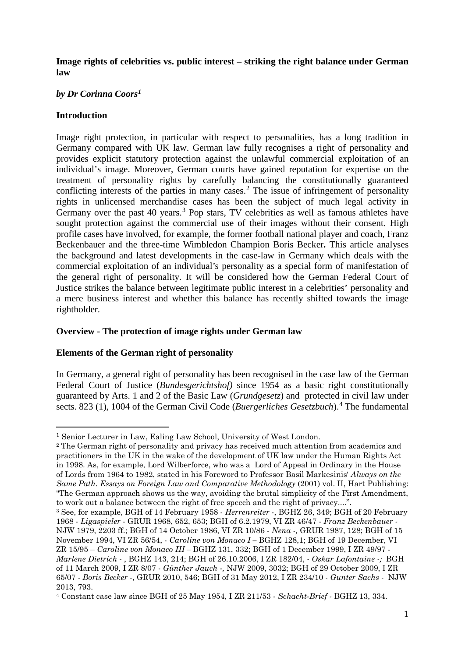## **Image rights of celebrities vs. public interest – striking the right balance under German law**

# *by Dr Corinna Coors[1](#page-0-0)*

# **Introduction**

-

Image right protection, in particular with respect to personalities, has a long tradition in Germany compared with UK law. German law fully recognises a right of personality and provides explicit statutory protection against the unlawful commercial exploitation of an individual's image. Moreover, German courts have gained reputation for expertise on the treatment of personality rights by carefully balancing the constitutionally guaranteed conflicting interests of the parties in many cases.<sup>[2](#page-0-1)</sup> The issue of infringement of personality rights in unlicensed merchandise cases has been the subject of much legal activity in Germany over the past 40 years.<sup>[3](#page-0-2)</sup> Pop stars, TV celebrities as well as famous athletes have sought protection against the commercial use of their images without their consent. High profile cases have involved, for example, the former football national player and coach, Franz Beckenbauer and the three-time Wimbledon Champion Boris Becker**.** This article analyses the background and latest developments in the case-law in Germany which deals with the commercial exploitation of an individual's personality as a special form of manifestation of the general right of personality. It will be considered how the German Federal Court of Justice strikes the balance between legitimate public interest in a celebrities' personality and a mere business interest and whether this balance has recently shifted towards the image rightholder.

# **Overview - The protection of image rights under German law**

# **Elements of the German right of personality**

In Germany, a general right of personality has been recognised in the case law of the German Federal Court of Justice (*Bundesgerichtshof)* since 1954 as a basic right constitutionally guaranteed by Arts. 1 and 2 of the Basic Law (*Grundgesetz*) and protected in civil law under sects. 823 (1), 1004 of the German Civil Code (*Buergerliches Gesetzbuch*). [4](#page-0-3) The fundamental

<span id="page-0-0"></span><sup>1</sup> Senior Lecturer in Law, Ealing Law School, University of West London.

<span id="page-0-1"></span><sup>2</sup> The German right of personality and privacy has received much attention from academics and practitioners in the UK in the wake of the development of UK law under the Human Rights Act in 1998. As, for example, Lord Wilberforce, who was a [Lord of Appeal in Ordinary](http://en.wikipedia.org/wiki/Lord_of_Appeal_in_Ordinary) in the [House](http://en.wikipedia.org/wiki/Appellate_Committee_of_the_House_of_Lords_of_the_Parliament_of_the_United_Kingdom_of_Great_Britain_and_Northern_Ireland)  [of Lords](http://en.wikipedia.org/wiki/Appellate_Committee_of_the_House_of_Lords_of_the_Parliament_of_the_United_Kingdom_of_Great_Britain_and_Northern_Ireland) from 1964 to 1982, stated in his Foreword to Professor Basil Markesinis' *Always on the Same Path. Essays on Foreign Law and Comparative Methodology* (2001) vol. II, Hart Publishing: "The German approach shows us the way, avoiding the brutal simplicity of the First Amendment, to work out a balance between the right of free speech and the right of privacy....".

<span id="page-0-2"></span><sup>3</sup> See, for example, BGH of 14 February 1958 - *Herrenreiter* -, BGHZ 26, 349; BGH of 20 February 1968 - *Ligaspieler* - GRUR 1968, 652, 653; BGH of 6.2.1979, VI ZR 46/47 - *Franz Beckenbauer -* NJW 1979, 2203 ff.; BGH of 14 October 1986, VI ZR 10/86 - *Nena -,* GRUR 1987, 128; BGH of 15 November 1994, VI ZR 56/54, - *Caroline von Monaco I –* BGHZ 128,1; BGH of 19 December, VI ZR 15/95 – *Caroline von Monaco III –* BGHZ 131, 332; BGH of 1 December 1999, I ZR 49/97 - *Marlene Dietrich* - , BGHZ 143, 214; BGH of 26.10.2006, I ZR 182/04, - *Oskar Lafontaine -;* BGH of 11 March 2009, I ZR 8/07 - *Günther Jauch -,* NJW 2009, 3032; BGH of 29 October 2009, I ZR 65/07 - *Boris Becker* -, GRUR 2010, 546; BGH of 31 May 2012, I ZR 234/10 - *Gunter Sachs -* NJW 2013, 793.

<span id="page-0-3"></span><sup>4</sup> Constant case law since BGH of 25 May 1954, I ZR 211/53 - *Schacht-Brief -* BGHZ 13, 334.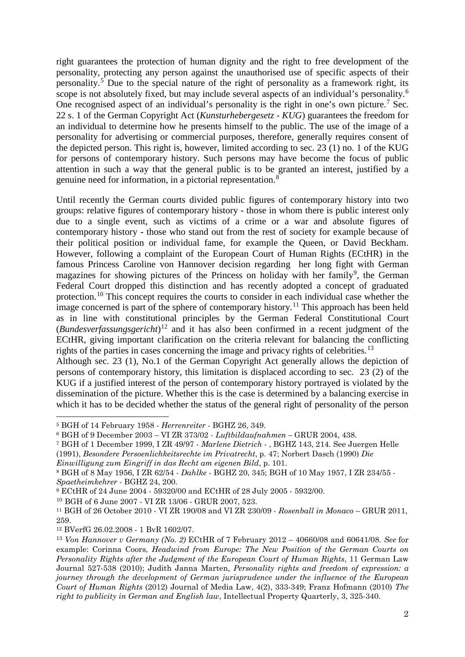right guarantees the protection of human dignity and the right to free development of the personality, protecting any person against the unauthorised use of specific aspects of their personality.[5](#page-1-0) Due to the special nature of the right of personality as a framework right, its scope is not absolutely fixed, but may include several aspects of an individual's personality.<sup>[6](#page-1-1)</sup> One recognised aspect of an individual's personality is the right in one's own picture.<sup>[7](#page-1-2)</sup> Sec. 22 s. 1 of the German Copyright Act (*Kunsturhebergesetz - KUG*) guarantees the freedom for an individual to determine how he presents himself to the public. The use of the image of a personality for advertising or commercial purposes, therefore, generally requires consent of the depicted person. This right is, however, limited according to sec. 23 (1) no. 1 of the KUG for persons of contemporary history. Such persons may have become the focus of public attention in such a way that the general public is to be granted an interest, justified by a genuine need for information, in a pictorial representation.<sup>[8](#page-1-3)</sup>

Until recently the German courts divided public figures of contemporary history into two groups: relative figures of contemporary history - those in whom there is public interest only due to a single event, such as victims of a crime or a war and absolute figures of contemporary history - those who stand out from the rest of society for example because of their political position or individual fame, for example the Queen, or David Beckham. However, following a complaint of the European Court of Human Rights (ECtHR) in the famous Princess Caroline von Hannover decision regarding her long fight with German magazines for showing pictures of the Princess on holiday with her family<sup>[9](#page-1-4)</sup>, the German Federal Court dropped this distinction and has recently adopted a concept of graduated protection.<sup>[10](#page-1-5)</sup> This concept requires the courts to consider in each individual case whether the image concerned is part of the sphere of contemporary history.<sup>[11](#page-1-6)</sup> This approach has been held as in line with constitutional principles by the German Federal Constitutional Court (*Bundesverfassungsgericht*) [12](#page-1-7) and it has also been confirmed in a recent judgment of the ECtHR, giving important clarification on the criteria relevant for balancing the conflicting rights of the parties in cases concerning the image and privacy rights of celebrities.<sup>[13](#page-1-8)</sup>

Although sec. 23 (1), No.1 of the German Copyright Act generally allows the depiction of persons of contemporary history, this limitation is displaced according to sec. 23 (2) of the KUG if a justified interest of the person of contemporary history portrayed is violated by the dissemination of the picture. Whether this is the case is determined by a balancing exercise in which it has to be decided whether the status of the general right of personality of the person

-

<span id="page-1-0"></span><sup>5</sup> BGH of 14 February 1958 - *Herrenreiter* - BGHZ 26, 349.

<span id="page-1-1"></span><sup>6</sup> BGH of 9 December 2003 – VI ZR 373/02 *- Luftbildaufnahmen –* GRUR 2004, 438.

<span id="page-1-2"></span><sup>7</sup> BGH of 1 December 1999, I ZR 49/97 - *Marlene Dietrich* - , BGHZ 143, 214. See Juergen Helle (1991), *Besondere Persoenlichkeitsrechte im Privatrecht*, p. 47; Norbert Dasch (1990) *Die* 

*Einwilligung zum Eingriff in das Recht am eigenen Bild*, p. 101.

<span id="page-1-3"></span><sup>8</sup> BGH of 8 May 1956, I ZR 62/54 - *Dahlke -* BGHZ 20, 345; BGH of 10 May 1957, I ZR 234/55 - *Spaetheimkehrer -* BGHZ 24, 200.

<span id="page-1-4"></span><sup>9</sup> ECtHR of 24 June 2004 - 59320/00 and ECtHR of 28 July 2005 - 5932/00.

<span id="page-1-5"></span><sup>10</sup> BGH of 6 June 2007 - [VI ZR 13/06](http://dejure.org/dienste/vernetzung/rechtsprechung?Text=VI%20ZR%2013/06) - GRUR 2007, 523.

<span id="page-1-6"></span><sup>11</sup> BGH of 26 October 2010 - VI ZR 190/08 and VI ZR 230/09 - *Rosenball in Monaco* – GRUR 2011, 259.

<span id="page-1-7"></span><sup>12</sup> BVerfG 26.02.2008 - 1 BvR 1602/07.

<span id="page-1-8"></span><sup>13</sup> *Von Hannover v Germany (No. 2)* ECtHR of 7 February 2012 – 40660/08 and 60641/08. *See* for example: Corinna Coors, *Headwind from Europe: The New Position of the German Courts on Personality Rights after the Judgment of the European Court of Human Rights*, 11 German Law Journal 527-538 (2010); Judith Janna Marten, *Personality rights and freedom of expression: a journey through the development of German jurisprudence under the influence of the European Court of Human Rights* (2012) Journal of Media Law, 4(2), 333-349; Franz Hofmann (2010) *The right to publicity in German and English law*, [Intellectual Property Quarterly, 3, 325-340.](http://login.westlaw.co.uk.ezproxy.uwl.ac.uk/maf/wluk/app/document?src=doc&linktype=ref&&context=28&crumb-action=replace&docguid=ICE28AED1A74C11DFB425AFEF504AC682)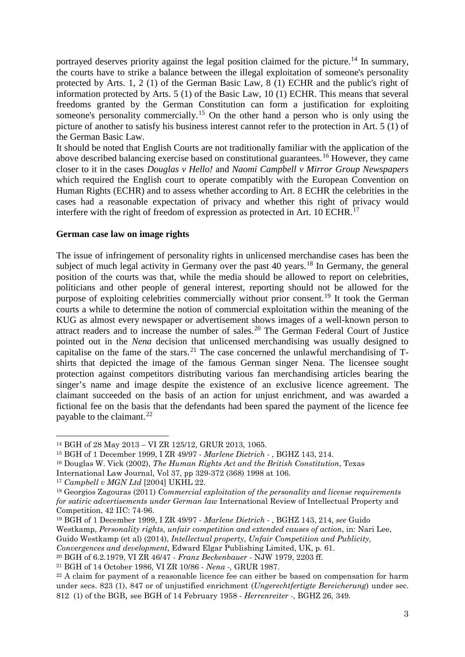portrayed deserves priority against the legal position claimed for the picture.<sup>[14](#page-2-0)</sup> In summary, the courts have to strike a balance between the illegal exploitation of someone's personality protected by Arts. 1, 2 (1) of the German Basic Law, 8 (1) ECHR and the public's right of information protected by Arts. 5 (1) of the Basic Law, 10 (1) ECHR. This means that several freedoms granted by the German Constitution can form a justification for exploiting someone's personality commercially.<sup>[15](#page-2-1)</sup> On the other hand a person who is only using the picture of another to satisfy his business interest cannot refer to the protection in Art. 5 (1) of the German Basic Law.

It should be noted that English Courts are not traditionally familiar with the application of the above described balancing exercise based on constitutional guarantees.[16](#page-2-2) However, they came closer to it in the cases *Douglas v Hello!* and *Naomi Campbell v Mirror Group Newspapers* which required the English court to operate compatibly with the European Convention on Human Rights (ECHR) and to assess whether according to Art. 8 ECHR the celebrities in the cases had a reasonable expectation of privacy and whether this right of privacy would interfere with the right of freedom of expression as protected in Art. 10 ECHR.<sup>[17](#page-2-3)</sup>

### **German case law on image rights**

The issue of infringement of personality rights in unlicensed merchandise cases has been the subject of much legal activity in Germany over the past 40 years.<sup>[18](#page-2-4)</sup> In Germany, the general position of the courts was that, while the media should be allowed to report on celebrities, politicians and other people of general interest, reporting should not be allowed for the purpose of exploiting celebrities commercially without prior consent.<sup>[19](#page-2-5)</sup> It took the German courts a while to determine the notion of commercial exploitation within the meaning of the KUG as almost every newspaper or advertisement shows images of a well-known person to attract readers and to increase the number of sales. [20](#page-2-6) The German Federal Court of Justice pointed out in the *Nena* decision that unlicensed merchandising was usually designed to capitalise on the fame of the stars.<sup>[21](#page-2-7)</sup> The case concerned the unlawful merchandising of  $T$ shirts that depicted the image of the famous German singer Nena. The licensee sought protection against competitors distributing various fan merchandising articles bearing the singer's name and image despite the existence of an exclusive licence agreement. The claimant succeeded on the basis of an action for unjust enrichment, and was awarded a fictional fee on the basis that the defendants had been spared the payment of the licence fee payable to the claimant.<sup>[22](#page-2-8)</sup>

-

*Convergences and development*, Edward Elgar Publishing Limited, UK, p. 61.

<span id="page-2-0"></span><sup>14</sup> BGH of 28 May 2013 – VI ZR 125/12, GRUR 2013, 1065.

<span id="page-2-1"></span><sup>15</sup> BGH of 1 December 1999, I ZR 49/97 - *Marlene Dietrich* - , BGHZ 143, 214.

<span id="page-2-2"></span><sup>16</sup> Douglas W. Vick (2002), *The Human Rights Act and the British Constitution*, Texas

International Law Journal, Vol 37, pp 329-372 (368) 1998 at 106.

<span id="page-2-3"></span><sup>17</sup> *Campbell v MGN Ltd* [2004] UKHL 22.

<span id="page-2-4"></span><sup>18</sup> Georgios Zagouras (2011) *Commercial exploitation of the personality and license requirements for satiric advertisements under German law* International Review of Intellectual Property and Competition, 42 IIC: 74-96.

<span id="page-2-5"></span><sup>19</sup> BGH of 1 December 1999, I ZR 49/97 - *Marlene Dietrich* - , BGHZ 143, 214, *see* Guido Westkamp, *Personality rights, unfair competition and extended causes of action*, in: Nari Lee, Guido Westkamp (et al) (2014), *Intellectual property, Unfair Competition and Publicity,* 

<span id="page-2-6"></span><sup>20</sup> BGH of 6.2.1979, VI ZR 46/47 - *Franz Beckenbauer -* NJW 1979, 2203 ff.

<span id="page-2-7"></span><sup>21</sup> BGH of 14 October 1986, VI ZR 10/86 - *Nena -,* GRUR 1987.

<span id="page-2-8"></span> $22$  A claim for payment of a reasonable licence fee can either be based on compensation for harm under secs. 823 (1), 847 or of unjustified enrichment (*Ungerechtfertigte Bereicherung*) under sec. 812 (1) of the BGB, see BGH of 14 February 1958 - *Herrenreiter* -, BGHZ 26, 349.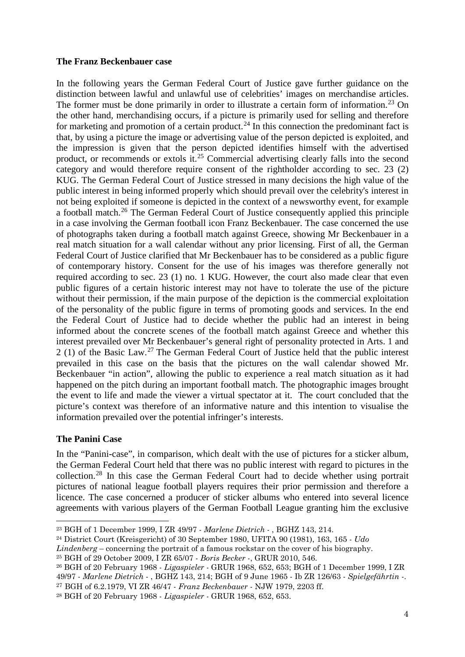### **The Franz Beckenbauer case**

In the following years the German Federal Court of Justice gave further guidance on the distinction between lawful and unlawful use of celebrities' images on merchandise articles. The former must be done primarily in order to illustrate a certain form of information.<sup>[23](#page-3-0)</sup> On the other hand, merchandising occurs, if a picture is primarily used for selling and therefore for marketing and promotion of a certain product.<sup>[24](#page-3-1)</sup> In this connection the predominant fact is that, by using a picture the image or advertising value of the person depicted is exploited, and the impression is given that the person depicted identifies himself with the advertised product, or recommends or extols it.[25](#page-3-2) Commercial advertising clearly falls into the second category and would therefore require consent of the rightholder according to sec. 23 (2) KUG. The German Federal Court of Justice stressed in many decisions the high value of the public interest in being informed properly which should prevail over the celebrity's interest in not being exploited if someone is depicted in the context of a newsworthy event, for example a football match.[26](#page-3-3) The German Federal Court of Justice consequently applied this principle in a case involving the German football icon Franz Beckenbauer. The case concerned the use of photographs taken during a football match against Greece, showing Mr Beckenbauer in a real match situation for a wall calendar without any prior licensing. First of all, the German Federal Court of Justice clarified that Mr Beckenbauer has to be considered as a public figure of contemporary history. Consent for the use of his images was therefore generally not required according to sec. 23 (1) no. 1 KUG. However, the court also made clear that even public figures of a certain historic interest may not have to tolerate the use of the picture without their permission, if the main purpose of the depiction is the commercial exploitation of the personality of the public figure in terms of promoting goods and services. In the end the Federal Court of Justice had to decide whether the public had an interest in being informed about the concrete scenes of the football match against Greece and whether this interest prevailed over Mr Beckenbauer's general right of personality protected in Arts. 1 and 2 (1) of the Basic Law.<sup>[27](#page-3-4)</sup> The German Federal Court of Justice held that the public interest prevailed in this case on the basis that the pictures on the wall calendar showed Mr. Beckenbauer "in action", allowing the public to experience a real match situation as it had happened on the pitch during an important football match. The photographic images brought the event to life and made the viewer a virtual spectator at it. The court concluded that the picture's context was therefore of an informative nature and this intention to visualise the information prevailed over the potential infringer's interests.

# **The Panini Case**

-

In the "Panini-case", in comparison, which dealt with the use of pictures for a sticker album, the German Federal Court held that there was no public interest with regard to pictures in the collection.[28](#page-3-5) In this case the German Federal Court had to decide whether using portrait pictures of national league football players requires their prior permission and therefore a licence. The case concerned a producer of sticker albums who entered into several licence agreements with various players of the German Football League granting him the exclusive

<span id="page-3-0"></span><sup>23</sup> BGH of 1 December 1999, I ZR 49/97 - *Marlene Dietrich* - , BGHZ 143, 214.

<span id="page-3-1"></span><sup>24</sup> District Court (Kreisgericht) of 30 September 1980, UFITA 90 (1981), 163, 165 - *Udo* 

*Lindenberg* – concerning the portrait of a famous rockstar on the cover of his biography.

<span id="page-3-2"></span><sup>25</sup> BGH of 29 October 2009, I ZR 65/07 - *Boris Becker* -, GRUR 2010, 546.

<span id="page-3-3"></span><sup>26</sup> BGH of 20 February 1968 - *Ligaspieler* - GRUR 1968, 652, 653; BGH of 1 December 1999, I ZR 49/97 - *Marlene Dietrich* - , BGHZ 143, 214; BGH of 9 June 1965 - Ib ZR 126/63 - *Spielgefährtin* -. <sup>27</sup> BGH of 6.2.1979, VI ZR 46/47 - *Franz Beckenbauer -* NJW 1979, 2203 ff.

<span id="page-3-5"></span><span id="page-3-4"></span><sup>28</sup> BGH of 20 February 1968 - *Ligaspieler* - GRUR 1968, 652, 653.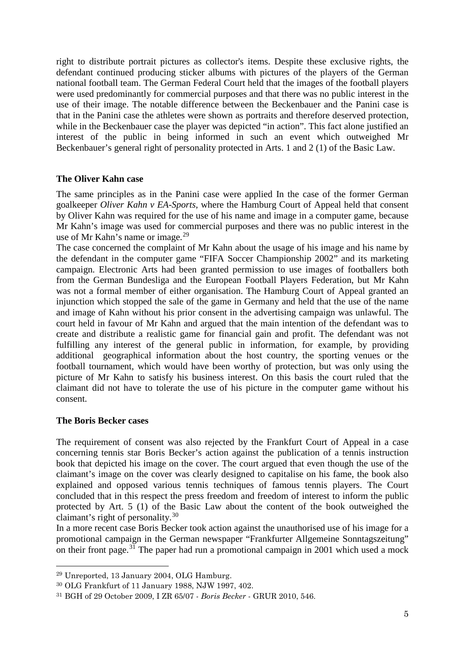right to distribute portrait pictures as collector's items. Despite these exclusive rights, the defendant continued producing sticker albums with pictures of the players of the German national football team. The German Federal Court held that the images of the football players were used predominantly for commercial purposes and that there was no public interest in the use of their image. The notable difference between the Beckenbauer and the Panini case is that in the Panini case the athletes were shown as portraits and therefore deserved protection, while in the Beckenbauer case the player was depicted "in action". This fact alone justified an interest of the public in being informed in such an event which outweighed Mr Beckenbauer's general right of personality protected in Arts. 1 and 2 (1) of the Basic Law.

## **The Oliver Kahn case**

The same principles as in the Panini case were applied In the case of the former German goalkeeper *Oliver Kahn v EA-Sports*, where the Hamburg Court of Appeal held that consent by Oliver Kahn was required for the use of his name and image in a computer game, because Mr Kahn's image was used for commercial purposes and there was no public interest in the use of Mr Kahn's name or image.<sup>[29](#page-4-0)</sup>

The case concerned the complaint of Mr Kahn about the usage of his image and his name by the defendant in the computer game "FIFA Soccer Championship 2002" and its marketing campaign. Electronic Arts had been granted permission to use images of footballers both from the German Bundesliga and the European Football Players Federation, but Mr Kahn was not a formal member of either organisation. The Hamburg Court of Appeal granted an injunction which stopped the sale of the game in Germany and held that the use of the name and image of Kahn without his prior consent in the advertising campaign was unlawful. The court held in favour of Mr Kahn and argued that the main intention of the defendant was to create and distribute a realistic game for financial gain and profit. The defendant was not fulfilling any interest of the general public in information, for example, by providing additional geographical information about the host country, the sporting venues or the football tournament, which would have been worthy of protection, but was only using the picture of Mr Kahn to satisfy his business interest. On this basis the court ruled that the claimant did not have to tolerate the use of his picture in the computer game without his consent.

### **The Boris Becker cases**

-

The requirement of consent was also rejected by the Frankfurt Court of Appeal in a case concerning tennis star Boris Becker's action against the publication of a tennis instruction book that depicted his image on the cover. The court argued that even though the use of the claimant's image on the cover was clearly designed to capitalise on his fame, the book also explained and opposed various tennis techniques of famous tennis players. The Court concluded that in this respect the press freedom and freedom of interest to inform the public protected by Art. 5 (1) of the Basic Law about the content of the book outweighed the claimant's right of personality. $30$ 

In a more recent case Boris Becker took action against the unauthorised use of his image for a promotional campaign in the German newspaper "Frankfurter Allgemeine Sonntagszeitung" on their front page.<sup>[31](#page-4-2)</sup> The paper had run a promotional campaign in 2001 which used a mock

<span id="page-4-0"></span><sup>29</sup> Unreported, 13 January 2004, OLG Hamburg.

<span id="page-4-1"></span><sup>30</sup> OLG Frankfurt of 11 January 1988, NJW 1997, 402.

<span id="page-4-2"></span><sup>31</sup> BGH of 29 October 2009, I ZR 65/07 - *Boris Becker* - GRUR 2010, 546.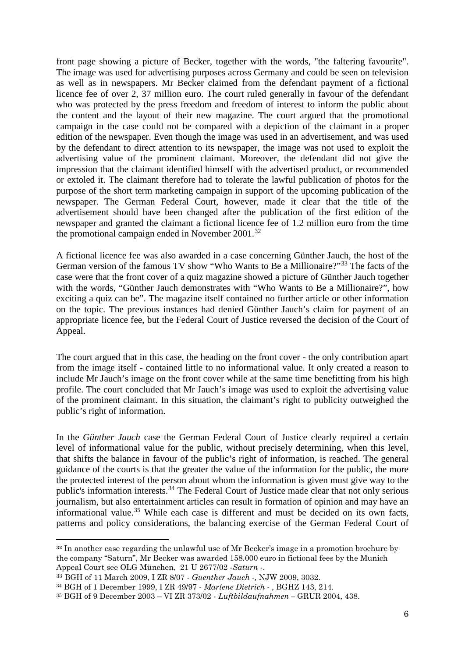front page showing a picture of Becker, together with the words, "the faltering favourite". The image was used for advertising purposes across Germany and could be seen on television as well as in newspapers. Mr Becker claimed from the defendant payment of a fictional licence fee of over 2, 37 million euro. The court ruled generally in favour of the defendant who was protected by the press freedom and freedom of interest to inform the public about the content and the layout of their new magazine. The court argued that the promotional campaign in the case could not be compared with a depiction of the claimant in a proper edition of the newspaper. Even though the image was used in an advertisement, and was used by the defendant to direct attention to its newspaper, the image was not used to exploit the advertising value of the prominent claimant. Moreover, the defendant did not give the impression that the claimant identified himself with the advertised product, or recommended or extoled it. The claimant therefore had to tolerate the lawful publication of photos for the purpose of the short term marketing campaign in support of the upcoming publication of the newspaper. The German Federal Court, however, made it clear that the title of the advertisement should have been changed after the publication of the first edition of the newspaper and granted the claimant a fictional licence fee of 1.2 million euro from the time the promotional campaign ended in November 2001.[32](#page-5-0)

A fictional licence fee was also awarded in a case concerning Günther Jauch, the host of the German version of the famous TV show "Who Wants to Be a Millionaire?"[33](#page-5-1) The facts of the case were that the front cover of a quiz magazine showed a picture of Günther Jauch together with the words, "Günther Jauch demonstrates with "Who Wants to Be a Millionaire?", how exciting a quiz can be". The magazine itself contained no further article or other information on the topic. The previous instances had denied Günther Jauch's claim for payment of an appropriate licence fee, but the Federal Court of Justice reversed the decision of the Court of Appeal.

The court argued that in this case, the heading on the front cover - the only contribution apart from the image itself - contained little to no informational value. It only created a reason to include Mr Jauch's image on the front cover while at the same time benefitting from his high profile. The court concluded that Mr Jauch's image was used to exploit the advertising value of the prominent claimant. In this situation, the claimant's right to publicity outweighed the public's right of information.

In the *Günther Jauch* case the German Federal Court of Justice clearly required a certain level of informational value for the public, without precisely determining, when this level, that shifts the balance in favour of the public's right of information, is reached. The general guidance of the courts is that the greater the value of the information for the public, the more the protected interest of the person about whom the information is given must give way to the public's information interests.[34](#page-5-2) The Federal Court of Justice made clear that not only serious journalism, but also entertainment articles can result in formation of opinion and may have an informational value. [35](#page-5-3) While each case is different and must be decided on its own facts, patterns and policy considerations, the balancing exercise of the German Federal Court of

-

<span id="page-5-0"></span>**<sup>32</sup>** In another case regarding the unlawful use of Mr Becker's image in a promotion brochure by the company "Saturn", Mr Becker was awarded 158.000 euro in fictional fees by the Munich Appeal Court see OLG München, 21 U 2677/02 -*Saturn* -. 33 BGH of 11 March 2009, I ZR 8/07 - *Guenther Jauch -,* NJW 2009, 3032.

<span id="page-5-2"></span><span id="page-5-1"></span><sup>34</sup> BGH of 1 December 1999, I ZR 49/97 - *Marlene Dietrich* - , BGHZ 143, 214.

<span id="page-5-3"></span><sup>35</sup> BGH of 9 December 2003 – VI ZR 373/02 *- Luftbildaufnahmen –* GRUR 2004, 438.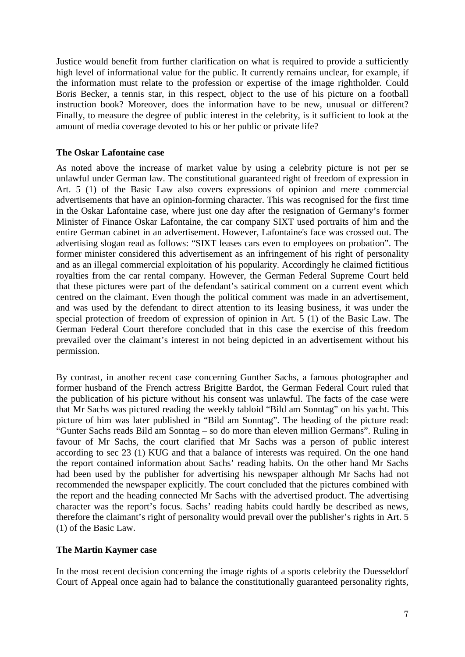Justice would benefit from further clarification on what is required to provide a sufficiently high level of informational value for the public. It currently remains unclear, for example, if the information must relate to the profession or expertise of the image rightholder. Could Boris Becker, a tennis star, in this respect, object to the use of his picture on a football instruction book? Moreover, does the information have to be new, unusual or different? Finally, to measure the degree of public interest in the celebrity, is it sufficient to look at the amount of media coverage devoted to his or her public or private life?

## **The Oskar Lafontaine case**

As noted above the increase of market value by using a celebrity picture is not per se unlawful under German law. The constitutional guaranteed right of freedom of expression in Art. 5 (1) of the Basic Law also covers expressions of opinion and mere commercial advertisements that have an opinion-forming character. This was recognised for the first time in the Oskar Lafontaine case, where just one day after the resignation of Germany's former Minister of Finance Oskar Lafontaine, the car company SIXT used portraits of him and the entire German cabinet in an advertisement. However, Lafontaine's face was crossed out. The advertising slogan read as follows: "SIXT leases cars even to employees on probation". The former minister considered this advertisement as an infringement of his right of personality and as an illegal commercial exploitation of his popularity. Accordingly he claimed fictitious royalties from the car rental company. However, the German Federal Supreme Court held that these pictures were part of the defendant's satirical comment on a current event which centred on the claimant. Even though the political comment was made in an advertisement, and was used by the defendant to direct attention to its leasing business, it was under the special protection of freedom of expression of opinion in Art. 5 (1) of the Basic Law. The German Federal Court therefore concluded that in this case the exercise of this freedom prevailed over the claimant's interest in not being depicted in an advertisement without his permission.

By contrast, in another recent case concerning Gunther Sachs, a famous photographer and former husband of the French actress Brigitte Bardot, the German Federal Court ruled that the publication of his picture without his consent was unlawful. The facts of the case were that Mr Sachs was pictured reading the weekly tabloid "Bild am Sonntag" on his yacht. This picture of him was later published in "Bild am Sonntag". The heading of the picture read: "Gunter Sachs reads Bild am Sonntag – so do more than eleven million Germans". Ruling in favour of Mr Sachs, the court clarified that Mr Sachs was a person of public interest according to sec 23 (1) KUG and that a balance of interests was required. On the one hand the report contained information about Sachs' reading habits. On the other hand Mr Sachs had been used by the publisher for advertising his newspaper although Mr Sachs had not recommended the newspaper explicitly. The court concluded that the pictures combined with the report and the heading connected Mr Sachs with the advertised product. The advertising character was the report's focus. Sachs' reading habits could hardly be described as news, therefore the claimant's right of personality would prevail over the publisher's rights in Art. 5 (1) of the Basic Law.

### **The Martin Kaymer case**

In the most recent decision concerning the image rights of a sports celebrity the Duesseldorf Court of Appeal once again had to balance the constitutionally guaranteed personality rights,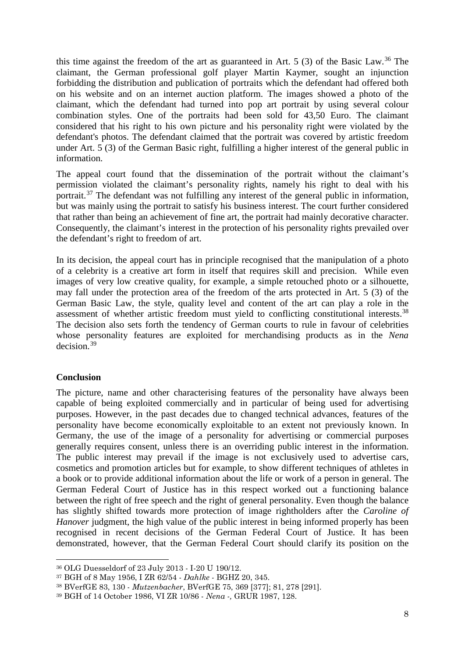this time against the freedom of the art as guaranteed in Art.  $5(3)$  of the Basic Law.<sup>[36](#page-7-0)</sup> The claimant, the German professional golf player Martin Kaymer, sought an injunction forbidding the distribution and publication of portraits which the defendant had offered both on his website and on an internet auction platform. The images showed a photo of the claimant, which the defendant had turned into pop art portrait by using several colour combination styles. One of the portraits had been sold for 43,50 Euro. The claimant considered that his right to his own picture and his personality right were violated by the defendant's photos. The defendant claimed that the portrait was covered by artistic freedom under Art. 5 (3) of the German Basic right, fulfilling a higher interest of the general public in information.

The appeal court found that the dissemination of the portrait without the claimant's permission violated the claimant's personality rights, namely his right to deal with his portrait.<sup>[37](#page-7-1)</sup> The defendant was not fulfilling any interest of the general public in information, but was mainly using the portrait to satisfy his business interest. The court further considered that rather than being an achievement of fine art, the portrait had mainly decorative character. Consequently, the claimant's interest in the protection of his personality rights prevailed over the defendant's right to freedom of art.

In its decision, the appeal court has in principle recognised that the manipulation of a photo of a celebrity is a creative art form in itself that requires skill and precision. While even images of very low creative quality, for example, a simple retouched photo or a silhouette, may fall under the protection area of the freedom of the arts protected in Art. 5 (3) of the German Basic Law, the style, quality level and content of the art can play a role in the assessment of whether artistic freedom must yield to conflicting constitutional interests.<sup>[38](#page-7-2)</sup> The decision also sets forth the tendency of German courts to rule in favour of celebrities whose personality features are exploited for merchandising products as in the *Nena* decision.[39](#page-7-3)

### **Conclusion**

-

The picture, name and other characterising features of the personality have always been capable of being exploited commercially and in particular of being used for advertising purposes. However, in the past decades due to changed technical advances, features of the personality have become economically exploitable to an extent not previously known. In Germany, the use of the image of a personality for advertising or commercial purposes generally requires consent, unless there is an overriding public interest in the information. The public interest may prevail if the image is not exclusively used to advertise cars, cosmetics and promotion articles but for example, to show different techniques of athletes in a book or to provide additional information about the life or work of a person in general. The German Federal Court of Justice has in this respect worked out a functioning balance between the right of free speech and the right of general personality. Even though the balance has slightly shifted towards more protection of image rightholders after the *Caroline of Hanover* judgment, the high value of the public interest in being informed properly has been recognised in recent decisions of the German Federal Court of Justice. It has been demonstrated, however, that the German Federal Court should clarify its position on the

<span id="page-7-0"></span><sup>36</sup> OLG Duesseldorf of 23 July 2013 - I-20 U 190/12.

<span id="page-7-1"></span><sup>37</sup> BGH of 8 May 1956, I ZR 62/54 - *Dahlke -* BGHZ 20, 345.

<span id="page-7-2"></span><sup>38</sup> BVerfGE 83, 130 - *Mutzenbacher*, BVerfGE 75, 369 [377]; 81, 278 [291].

<span id="page-7-3"></span><sup>39</sup> BGH of 14 October 1986, VI ZR 10/86 - *Nena -,* GRUR 1987, 128.